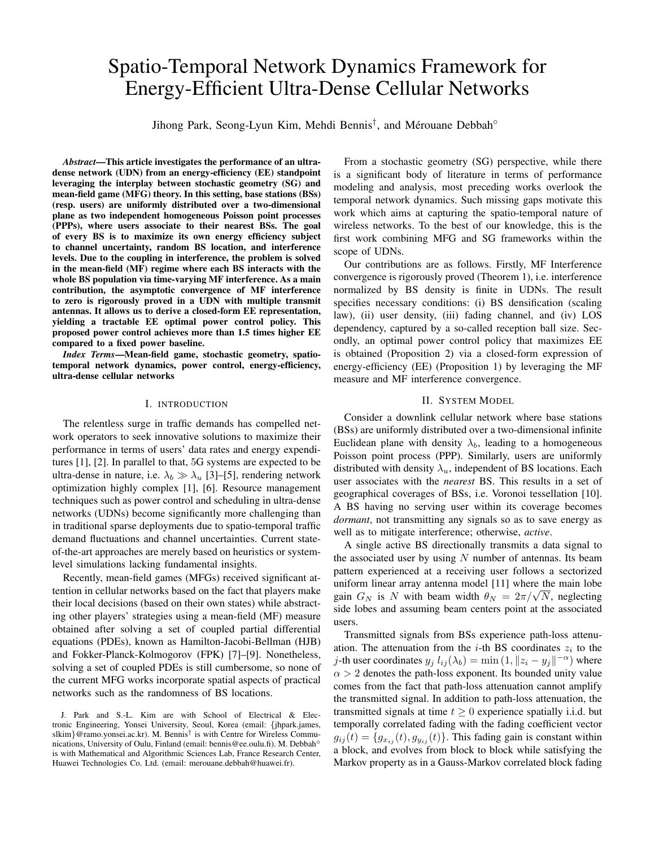# Spatio-Temporal Network Dynamics Framework for Energy-Efficient Ultra-Dense Cellular Networks

Jihong Park, Seong-Lyun Kim, Mehdi Bennis<sup>†</sup>, and Mérouane Debbah<sup>o</sup>

*Abstract*—This article investigates the performance of an ultradense network (UDN) from an energy-efficiency (EE) standpoint leveraging the interplay between stochastic geometry (SG) and mean-field game (MFG) theory. In this setting, base stations (BSs) (resp. users) are uniformly distributed over a two-dimensional plane as two independent homogeneous Poisson point processes (PPPs), where users associate to their nearest BSs. The goal of every BS is to maximize its own energy efficiency subject to channel uncertainty, random BS location, and interference levels. Due to the coupling in interference, the problem is solved in the mean-field (MF) regime where each BS interacts with the whole BS population via time-varying MF interference. As a main contribution, the asymptotic convergence of MF interference to zero is rigorously proved in a UDN with multiple transmit antennas. It allows us to derive a closed-form EE representation, yielding a tractable EE optimal power control policy. This proposed power control achieves more than 1.5 times higher EE compared to a fixed power baseline.

*Index Terms*—Mean-field game, stochastic geometry, spatiotemporal network dynamics, power control, energy-efficiency, ultra-dense cellular networks

## I. INTRODUCTION

The relentless surge in traffic demands has compelled network operators to seek innovative solutions to maximize their performance in terms of users' data rates and energy expenditures [1], [2]. In parallel to that, 5G systems are expected to be ultra-dense in nature, i.e.  $\lambda_b \gg \lambda_u$  [3]–[5], rendering network optimization highly complex [1], [6]. Resource management techniques such as power control and scheduling in ultra-dense networks (UDNs) become significantly more challenging than in traditional sparse deployments due to spatio-temporal traffic demand fluctuations and channel uncertainties. Current stateof-the-art approaches are merely based on heuristics or systemlevel simulations lacking fundamental insights.

Recently, mean-field games (MFGs) received significant attention in cellular networks based on the fact that players make their local decisions (based on their own states) while abstracting other players' strategies using a mean-field (MF) measure obtained after solving a set of coupled partial differential equations (PDEs), known as Hamilton-Jacobi-Bellman (HJB) and Fokker-Planck-Kolmogorov (FPK) [7]–[9]. Nonetheless, solving a set of coupled PDEs is still cumbersome, so none of the current MFG works incorporate spatial aspects of practical networks such as the randomness of BS locations.

From a stochastic geometry (SG) perspective, while there is a significant body of literature in terms of performance modeling and analysis, most preceding works overlook the temporal network dynamics. Such missing gaps motivate this work which aims at capturing the spatio-temporal nature of wireless networks. To the best of our knowledge, this is the first work combining MFG and SG frameworks within the scope of UDNs.

Our contributions are as follows. Firstly, MF Interference convergence is rigorously proved (Theorem 1), i.e. interference normalized by BS density is finite in UDNs. The result specifies necessary conditions: (i) BS densification (scaling law), (ii) user density, (iii) fading channel, and (iv) LOS dependency, captured by a so-called reception ball size. Secondly, an optimal power control policy that maximizes EE is obtained (Proposition 2) via a closed-form expression of energy-efficiency (EE) (Proposition 1) by leveraging the MF measure and MF interference convergence.

#### II. SYSTEM MODEL

Consider a downlink cellular network where base stations (BSs) are uniformly distributed over a two-dimensional infinite Euclidean plane with density  $\lambda_b$ , leading to a homogeneous Poisson point process (PPP). Similarly, users are uniformly distributed with density  $\lambda_u$ , independent of BS locations. Each user associates with the *nearest* BS. This results in a set of geographical coverages of BSs, i.e. Voronoi tessellation [10]. A BS having no serving user within its coverage becomes *dormant*, not transmitting any signals so as to save energy as well as to mitigate interference; otherwise, *active*.

A single active BS directionally transmits a data signal to the associated user by using  $N$  number of antennas. Its beam pattern experienced at a receiving user follows a sectorized uniform linear array antenna model [11] where the main lobe uniform linear array antenna model [11] where the main lobe gain  $G_N$  is N with beam width  $\theta_N = 2\pi/\sqrt{N}$ , neglecting side lobes and assuming beam centers point at the associated users.

Transmitted signals from BSs experience path-loss attenuation. The attenuation from the *i*-th BS coordinates  $z_i$  to the *j*-th user coordinates  $y_j l_{ij}(\lambda_b) = \min(1, ||z_i - y_j||^{-\alpha})$  where  $\alpha > 2$  denotes the path-loss exponent. Its bounded unity value comes from the fact that path-loss attenuation cannot amplify the transmitted signal. In addition to path-loss attenuation, the transmitted signals at time  $t \geq 0$  experience spatially i.i.d. but temporally correlated fading with the fading coefficient vector  $g_{ij}(t) = \{g_{x_{ij}}(t), g_{y_{ij}}(t)\}\.$  This fading gain is constant within a block, and evolves from block to block while satisfying the Markov property as in a Gauss-Markov correlated block fading

J. Park and S.-L. Kim are with School of Electrical & Electronic Engineering, Yonsei University, Seoul, Korea (email: {jhpark.james, slkim}@ramo.yonsei.ac.kr). M. Bennis<sup>†</sup> is with Centre for Wireless Communications, University of Oulu, Finland (email: bennis@ee.oulu.fi). M. Debbah◦ is with Mathematical and Algorithmic Sciences Lab, France Research Center, Huawei Technologies Co. Ltd. (email: merouane.debbah@huawei.fr).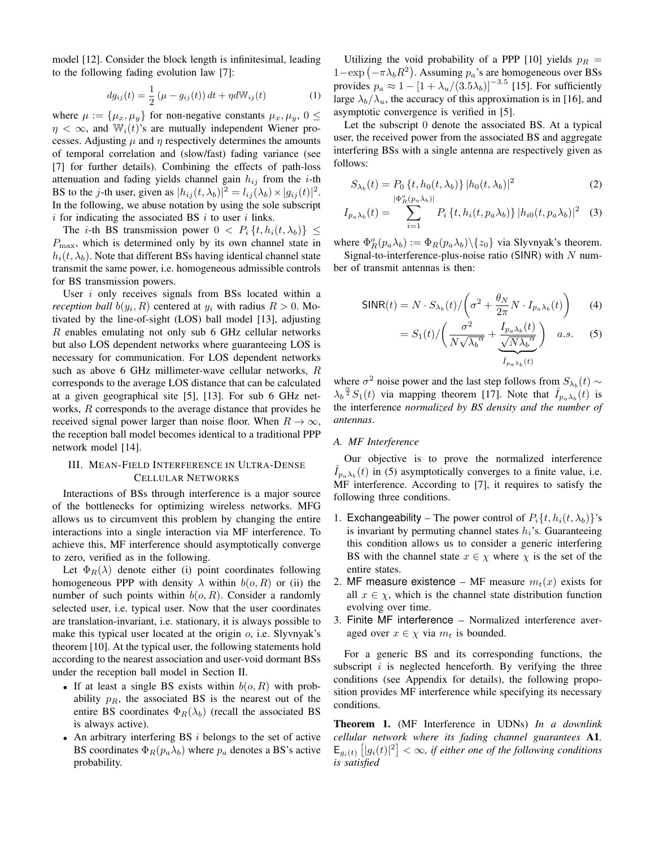model [12]. Consider the block length is infinitesimal, leading to the following fading evolution law [7]:

$$
dg_{ij}(t) = \frac{1}{2} (\mu - g_{ij}(t)) dt + \eta dW_{ij}(t)
$$
 (1)

where  $\mu := {\mu_x, \mu_y}$  for non-negative constants  $\mu_x, \mu_y, 0 \leq$  $\eta < \infty$ , and  $\mathbb{W}_i(t)$ 's are mutually independent Wiener processes. Adjusting  $\mu$  and  $\eta$  respectively determines the amounts of temporal correlation and (slow/fast) fading variance (see [7] for further details). Combining the effects of path-loss attenuation and fading yields channel gain  $h_{ij}$  from the *i*-th BS to the *j*-th user, given as  $|h_{ij}(t, \lambda_b)|^2 = l_{ij}(\lambda_b) \times |g_{ij}(t)|^2$ . In the following, we abuse notation by using the sole subscript  $i$  for indicating the associated BS  $i$  to user  $i$  links.

The *i*-th BS transmission power  $0 < P_i \{t, h_i(t, \lambda_b)\} \leq$  $P_{\text{max}}$ , which is determined only by its own channel state in  $h_i(t, \lambda_b)$ . Note that different BSs having identical channel state transmit the same power, i.e. homogeneous admissible controls for BS transmission powers.

User  $i$  only receives signals from BSs located within a *reception ball*  $b(y_i, R)$  centered at  $y_i$  with radius  $R > 0$ . Motivated by the line-of-sight (LOS) ball model [13], adjusting R enables emulating not only sub 6 GHz cellular networks but also LOS dependent networks where guaranteeing LOS is necessary for communication. For LOS dependent networks such as above 6 GHz millimeter-wave cellular networks, R corresponds to the average LOS distance that can be calculated at a given geographical site [5], [13]. For sub 6 GHz networks, R corresponds to the average distance that provides he received signal power larger than noise floor. When  $R \to \infty$ , the reception ball model becomes identical to a traditional PPP network model [14].

## III. MEAN-FIELD INTERFERENCE IN ULTRA-DENSE CELLULAR NETWORKS

Interactions of BSs through interference is a major source of the bottlenecks for optimizing wireless networks. MFG allows us to circumvent this problem by changing the entire interactions into a single interaction via MF interference. To achieve this, MF interference should asymptotically converge to zero, verified as in the following.

Let  $\Phi_R(\lambda)$  denote either (i) point coordinates following homogeneous PPP with density  $\lambda$  within  $b(o, R)$  or (ii) the number of such points within  $b(o, R)$ . Consider a randomly selected user, i.e. typical user. Now that the user coordinates are translation-invariant, i.e. stationary, it is always possible to make this typical user located at the origin  $o$ , i.e. Slyvnyak's theorem [10]. At the typical user, the following statements hold according to the nearest association and user-void dormant BSs under the reception ball model in Section II.

- If at least a single BS exists within  $b(o, R)$  with probability  $p_R$ , the associated BS is the nearest out of the entire BS coordinates  $\Phi_R(\lambda_b)$  (recall the associated BS is always active).
- An arbitrary interfering BS  $i$  belongs to the set of active BS coordinates  $\Phi_R(p_a\lambda_b)$  where  $p_a$  denotes a BS's active probability.

Utilizing the void probability of a PPP [10] yields  $p_R =$  $1 - \exp(-\pi \lambda_b R^2)$ . Assuming  $p_a$ 's are homogeneous over BSs provides  $p_a \approx 1 - \left[1 + \lambda_u/(3.5\lambda_b)\right]^{-3.5}$  [15]. For sufficiently large  $\lambda_b/\lambda_u$ , the accuracy of this approximation is in [16], and asymptotic convergence is verified in [5].

Let the subscript 0 denote the associated BS. At a typical user, the received power from the associated BS and aggregate interfering BSs with a single antenna are respectively given as follows:

$$
S_{\lambda_b}(t) = P_0 \{t, h_0(t, \lambda_b)\} |h_0(t, \lambda_b)|^2
$$
 (2)

$$
I_{p_a\lambda_b}(t) = \sum_{i=1}^{|\Phi_R^o(p_a\lambda_b)|} P_i \{t, h_i(t, p_a\lambda_b)\} |h_{i0}(t, p_a\lambda_b)|^2 \quad (3)
$$

where  $\Phi_R^o(p_a \lambda_b) := \Phi_R(p_a \lambda_b) \setminus \{z_0\}$  via Slyvnyak's theorem.

Signal-to-interference-plus-noise ratio (SINR) with  $N$  number of transmit antennas is then:

$$
\text{SINR}(t) = N \cdot S_{\lambda_b}(t) / \left(\sigma^2 + \frac{\theta_N}{2\pi} N \cdot I_{p_a \lambda_b}(t)\right) \tag{4}
$$

$$
=S_1(t)/\left(\frac{\sigma^2}{N\sqrt{\lambda_b^{\alpha}}}+\frac{I_{p_a\lambda_b}(t)}{\sqrt{N\lambda_b^{\alpha}}}\right) \quad a.s. \tag{5}
$$

where  $\sigma^2$  noise power and the last step follows from  $S_{\lambda_b}(t)$  ∼  $\lambda_b^{\frac{\alpha}{2}} S_1(t)$  via mapping theorem [17]. Note that  $\hat{I}_{p_a\lambda_b}(t)$  is the interference *normalized by BS density and the number of antennas*.

## *A. MF Interference*

Our objective is to prove the normalized interference  $\hat{I}_{p_a\lambda_b}(t)$  in (5) asymptotically converges to a finite value, i.e. MF interference. According to [7], it requires to satisfy the following three conditions.

- 1. Exchangeability The power control of  $P_i\{t, h_i(t, \lambda_b)\}$ 's is invariant by permuting channel states  $h_i$ 's. Guaranteeing this condition allows us to consider a generic interfering BS with the channel state  $x \in \chi$  where  $\chi$  is the set of the entire states.
- 2. MF measure existence MF measure  $m_t(x)$  exists for all  $x \in \chi$ , which is the channel state distribution function evolving over time.
- 3. Finite MF interference Normalized interference averaged over  $x \in \chi$  via  $m_t$  is bounded.

For a generic BS and its corresponding functions, the subscript  $i$  is neglected henceforth. By verifying the three conditions (see Appendix for details), the following proposition provides MF interference while specifying its necessary conditions.

Theorem 1. (MF Interference in UDNs) *In a downlink cellular network where its fading channel guarantees* A1*.*  $\mathsf{E}_{g_i(t)}\left[|g_i(t)|^2\right]<\infty$ , if either one of the following conditions *is satisfied*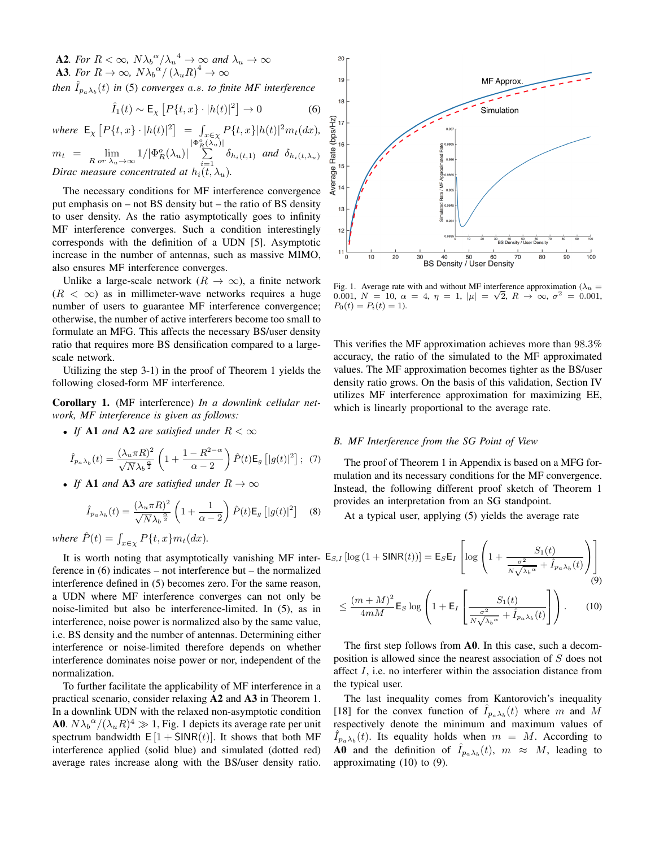**A2***. For*  $R < \infty$ ,  $N\lambda_b^{\alpha}/\lambda_u^{\alpha} \rightarrow \infty$  and  $\lambda_u \rightarrow \infty$ **A3**. For  $R \to \infty$ ,  $N \lambda_b^{\alpha'} / (\lambda_u R)^4 \to \infty$ then  $\hat{I}_{p_a\lambda_b}(t)$  in (5) converges a.s. to finite MF interference

$$
\hat{I}_1(t) \sim \mathsf{E}_{\chi} \left[ P\{t, x\} \cdot |h(t)|^2 \right] \to 0 \tag{6}
$$

 $where \ \mathsf{E}_{\chi} \left[ P \{t, x\} \cdot |h(t)|^2 \right] \ = \ \int_{x \in \chi} P \{t, x\} |h(t)|^2 m_t(dx),$ 

 $m_t = \lim_{R \text{ or } \lambda_u \to \infty} 1/|\Phi_R^o(\lambda_u)|$  $\frac{|\Phi^o_R(\lambda_u)|}{\sum}$  $\sum_{i=1}^{\infty} \delta_{h_i(t,1)}$  *and*  $\delta_{h_i(t,\lambda_u)}$ *Dirac measure concentrated at*  $h_i(t, \lambda_u)$ *.* 

The necessary conditions for MF interference convergence put emphasis on – not BS density but – the ratio of BS density to user density. As the ratio asymptotically goes to infinity MF interference converges. Such a condition interestingly corresponds with the definition of a UDN [5]. Asymptotic increase in the number of antennas, such as massive MIMO, also ensures MF interference converges.

Unlike a large-scale network ( $R \to \infty$ ), a finite network  $(R < \infty)$  as in millimeter-wave networks requires a huge number of users to guarantee MF interference convergence; otherwise, the number of active interferers become too small to formulate an MFG. This affects the necessary BS/user density ratio that requires more BS densification compared to a largescale network.

Utilizing the step 3-1) in the proof of Theorem 1 yields the following closed-form MF interference.

Corollary 1. (MF interference) *In a downlink cellular network, MF interference is given as follows:*

• If **A1** and **A2** are satisfied under  $R < \infty$ 

$$
\hat{I}_{p_a\lambda_b}(t) = \frac{(\lambda_u \pi R)^2}{\sqrt{N}\lambda_b^{\frac{\alpha}{2}}} \left(1 + \frac{1 - R^{2-\alpha}}{\alpha - 2}\right) \hat{P}(t) \mathsf{E}_g\left[|g(t)|^2\right];\tag{7}
$$

• *If* A1 *and* A3 *are satisfied under*  $R \to \infty$ 

$$
\hat{I}_{p_a\lambda_b}(t) = \frac{(\lambda_u \pi R)^2}{\sqrt{N}\lambda_b \frac{\alpha}{2}} \left(1 + \frac{1}{\alpha - 2}\right) \hat{P}(t) \mathsf{E}_g \left[|g(t)|^2\right] \quad (8)
$$

where  $\hat{P}(t) = \int_{x \in \chi} P\{t, x\} m_t(dx)$ .

It is worth noting that asymptotically vanishing MF inter- $E_s$ ference in (6) indicates – not interference but – the normalized interference defined in (5) becomes zero. For the same reason, a UDN where MF interference converges can not only be noise-limited but also be interference-limited. In (5), as in interference, noise power is normalized also by the same value, i.e. BS density and the number of antennas. Determining either interference or noise-limited therefore depends on whether interference dominates noise power or nor, independent of the normalization.

To further facilitate the applicability of MF interference in a practical scenario, consider relaxing A2 and A3 in Theorem 1. In a downlink UDN with the relaxed non-asymptotic condition **A0**.  $N\lambda_b^{\alpha}/(\lambda_u R)^4 \gg 1$ , Fig. 1 depicts its average rate per unit spectrum bandwidth  $E[1 + SINR(t)]$ . It shows that both MF interference applied (solid blue) and simulated (dotted red) average rates increase along with the BS/user density ratio.



Fig. 1. Average rate with and without MF interference approximation ( $\lambda_u$  = 0.001,  $N = 10$ ,  $\alpha = 4$ ,  $\eta = 1$ ,  $|\mu| = \sqrt{2}$ ,  $R \rightarrow \infty$ ,  $\sigma^2 = 0.001$ ,  $P_0(t) = P_i(t) = 1.$ 

This verifies the MF approximation achieves more than 98.3% accuracy, the ratio of the simulated to the MF approximated values. The MF approximation becomes tighter as the BS/user density ratio grows. On the basis of this validation, Section IV utilizes MF interference approximation for maximizing EE, which is linearly proportional to the average rate.

#### *B. MF Interference from the SG Point of View*

The proof of Theorem 1 in Appendix is based on a MFG formulation and its necessary conditions for the MF convergence. Instead, the following different proof sketch of Theorem 1 provides an interpretation from an SG standpoint.

At a typical user, applying (5) yields the average rate

$$
\mathsf{E}_{S,I} \left[ \log \left( 1 + \mathsf{SINR}(t) \right) \right] = \mathsf{E}_{S} \mathsf{E}_{I} \left[ \log \left( 1 + \frac{S_{1}(t)}{\frac{\sigma^{2}}{N\sqrt{\lambda_{b}^{\alpha}}} + \hat{I}_{p_{a}\lambda_{b}}(t)} \right) \right]
$$
\n
$$
\leq \frac{(m+M)^{2}}{4m} \mathsf{E}_{S} \log \left( 1 + \mathsf{E}_{I} \left[ \frac{S_{1}(t)}{\frac{\sigma^{2}}{N\sqrt{\lambda_{b}^{\alpha}}} + \hat{I}_{p_{a}\lambda_{b}}(t)} \right] \right). \tag{10}
$$

The first step follows from A0. In this case, such a decomposition is allowed since the nearest association of S does not affect  $I$ , i.e. no interferer within the association distance from the typical user.

The last inequality comes from Kantorovich's inequality [18] for the convex function of  $\hat{I}_{p_a\lambda_b}(t)$  where m and M respectively denote the minimum and maximum values of  $\hat{I}_{p_a\lambda_b}(t)$ . Its equality holds when  $m = M$ . According to **A0** and the definition of  $\hat{I}_{p_a\lambda_b}(t)$ ,  $m \approx M$ , leading to approximating (10) to (9).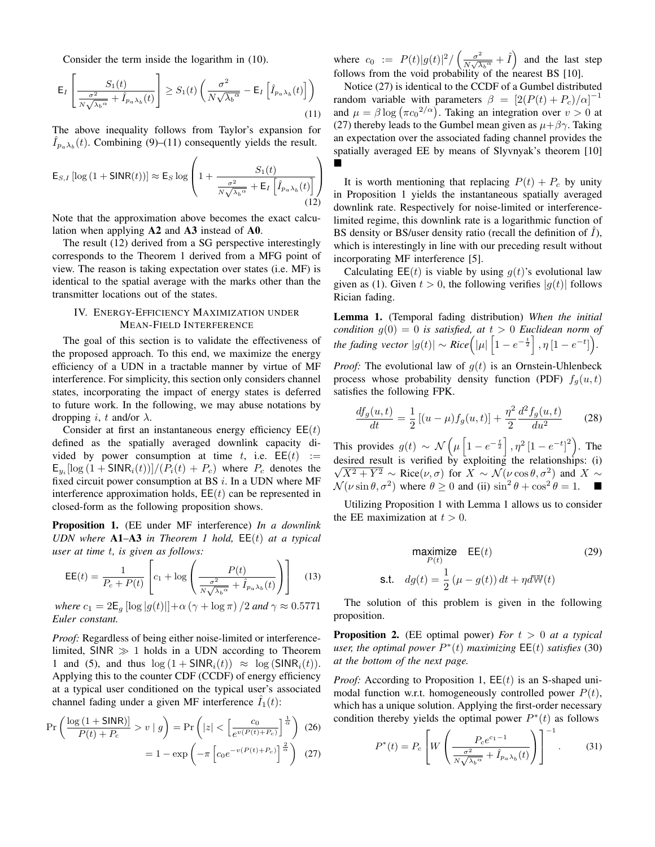Consider the term inside the logarithm in (10).

$$
\mathsf{E}_{I}\left[\frac{S_{1}(t)}{\frac{\sigma^{2}}{N\sqrt{\lambda_{b}^{\alpha}}}} + \hat{I}_{p_{a}\lambda_{b}}(t)\right] \geq S_{1}(t)\left(\frac{\sigma^{2}}{N\sqrt{\lambda_{b}^{\alpha}}}-\mathsf{E}_{I}\left[\hat{I}_{p_{a}\lambda_{b}}(t)\right]\right) \tag{11}
$$

The above inequality follows from Taylor's expansion for  $\hat{I}_{p_a\lambda_b}(t)$ . Combining (9)–(11) consequently yields the result.

$$
\mathsf{E}_{S,I} \left[ \log \left( 1 + \mathsf{SINR}(t) \right) \right] \approx \mathsf{E}_{S} \log \left( 1 + \frac{S_1(t)}{\frac{\sigma^2}{N\sqrt{\lambda_b \alpha}} + \mathsf{E}_{I} \left[ \hat{I}_{p_a \lambda_b}(t) \right]} \right)
$$
(12)

Note that the approximation above becomes the exact calculation when applying A2 and A3 instead of A0.

The result (12) derived from a SG perspective interestingly corresponds to the Theorem 1 derived from a MFG point of view. The reason is taking expectation over states (i.e. MF) is identical to the spatial average with the marks other than the transmitter locations out of the states.

## IV. ENERGY-EFFICIENCY MAXIMIZATION UNDER MEAN-FIELD INTERFERENCE

The goal of this section is to validate the effectiveness of the proposed approach. To this end, we maximize the energy efficiency of a UDN in a tractable manner by virtue of MF interference. For simplicity, this section only considers channel states, incorporating the impact of energy states is deferred to future work. In the following, we may abuse notations by dropping *i*, *t* and/or  $\lambda$ .

Consider at first an instantaneous energy efficiency  $EE(t)$ defined as the spatially averaged downlink capacity divided by power consumption at time t, i.e.  $EE(t) :=$  $\mathsf{E}_{y_i}[\log(1+\mathsf{SINR}_i(t))]/(P_i(t) + P_c)$  where  $P_c$  denotes the fixed circuit power consumption at BS  $i$ . In a UDN where MF interference approximation holds,  $EE(t)$  can be represented in closed-form as the following proposition shows.

Proposition 1. (EE under MF interference) *In a downlink UDN where* A1–A3 *in Theorem 1 hold,* EE(t) *at a typical user at time* t*, is given as follows:*

$$
\mathsf{EE}(t) = \frac{1}{P_c + P(t)} \left[ c_1 + \log \left( \frac{P(t)}{\frac{\sigma^2}{N\sqrt{\lambda_b \alpha}} + \hat{I}_{p_a \lambda_b}(t)} \right) \right]
$$
(13)

*where*  $c_1 = 2\mathsf{E}_g \left[ \log |g(t)| \right] + \alpha \left( \gamma + \log \pi \right) / 2$  *and*  $\gamma \approx 0.5771$ *Euler constant.*

*Proof:* Regardless of being either noise-limited or interferencelimited,  $SINR \gg 1$  holds in a UDN according to Theorem 1 and (5), and thus  $\log(1 + \text{SINR}_i(t)) \approx \log(\text{SINR}_i(t)).$ Applying this to the counter CDF (CCDF) of energy efficiency at a typical user conditioned on the typical user's associated channel fading under a given MF interference  $I_1(t)$ :

$$
\Pr\left(\frac{\log\left(1+\text{SINR}\right)}{P(t)+P_c} > v \mid g\right) = \Pr\left(|z| < \left[\frac{c_0}{e^{v(P(t)+P_c)}}\right]^{\frac{1}{\alpha}}\right) \tag{26}
$$
\n
$$
= 1 - \exp\left(-\pi\left[\cos\left(\frac{-v(P(t)+P_c)}{\alpha}\right)^{\frac{2}{\alpha}}\right) \tag{27}
$$

where  $c_0 := P(t)|g(t)|^2 / \left(\frac{\sigma^2}{N\sqrt{\lambda}}\right)$  $\frac{\sigma^2}{N\sqrt{\lambda_b \alpha}} + \hat{I}$  and the last step follows from the void probability of the nearest BS [10].

Notice (27) is identical to the CCDF of a Gumbel distributed random variable with parameters  $\beta = [2(P(t) + P_c)/\alpha]^{-1}$ and  $\mu = \beta \log (\pi c_0^{2/\alpha})$ . Taking an integration over  $v > 0$  at (27) thereby leads to the Gumbel mean given as  $\mu + \beta \gamma$ . Taking an expectation over the associated fading channel provides the spatially averaged EE by means of Slyvnyak's theorem [10] É

It is worth mentioning that replacing  $P(t) + P_c$  by unity in Proposition 1 yields the instantaneous spatially averaged downlink rate. Respectively for noise-limited or interferencelimited regime, this downlink rate is a logarithmic function of BS density or BS/user density ratio (recall the definition of  $\tilde{I}$ ), which is interestingly in line with our preceding result without incorporating MF interference [5].

Calculating  $\mathsf{EE}(t)$  is viable by using  $g(t)$ 's evolutional law given as (1). Given  $t > 0$ , the following verifies  $|q(t)|$  follows Rician fading.

Lemma 1. (Temporal fading distribution) *When the initial condition*  $g(0) = 0$  *is satisfied, at*  $t > 0$  *Euclidean norm of the fading vector*  $|g(t)| \sim Rice(|\mu| \left[1 - e^{-\frac{t}{2}}\right], \eta \left[1 - e^{-t}\right]).$ 

*Proof:* The evolutional law of  $g(t)$  is an Ornstein-Uhlenbeck process whose probability density function (PDF)  $f_g(u, t)$ satisfies the following FPK.

$$
\frac{df_g(u,t)}{dt} = \frac{1}{2} \left[ (u-\mu) f_g(u,t) \right] + \frac{\eta^2}{2} \frac{d^2 f_g(u,t)}{du^2} \tag{28}
$$

This provides  $g(t) \sim \mathcal{N}\left(\mu\left[1-e^{-\frac{t}{2}}\right], \eta^2\left[1-e^{-t}\right]^2\right)$ . The desired result is verified by exploiting the relationships: (i)  $\overline{X^2 + Y^2}$  ~ Rice $(\nu, \sigma)$  for  $X \sim \mathcal{N}(\nu \cos \theta, \sigma^2)$  and  $X \sim$  $\mathcal{N}(\nu \sin \theta, \sigma^2)$  where  $\theta \ge 0$  and (ii)  $\sin^2 \theta + \cos^2 \theta = 1$ .

Utilizing Proposition 1 with Lemma 1 allows us to consider the EE maximization at  $t > 0$ .

$$
\begin{array}{ll}\n\text{maximize} & \text{EE}(t) & (29) \\
\text{s.t.} & dg(t) = \frac{1}{2} (\mu - g(t)) dt + \eta d \mathbb{W}(t)\n\end{array}
$$

The solution of this problem is given in the following proposition.

Proposition 2. (EE optimal power) *For* t > 0 *at a typical*  $\mu$ *user, the optimal power*  $P^*(t)$  *maximizing*  $\mathsf{EE}(t)$  *satisfies* (30) *at the bottom of the next page.*

*Proof:* According to Proposition 1,  $EE(t)$  is an S-shaped unimodal function w.r.t. homogeneously controlled power  $P(t)$ , which has a unique solution. Applying the first-order necessary condition thereby yields the optimal power  $P^*(t)$  as follows

$$
P^*(t) = P_c \left[ W \left( \frac{P_c e^{c_1 - 1}}{\frac{\sigma^2}{N \sqrt{\lambda_b \alpha}} + \hat{I}_{p_a \lambda_b}(t)} \right) \right]^{-1}.
$$
 (31)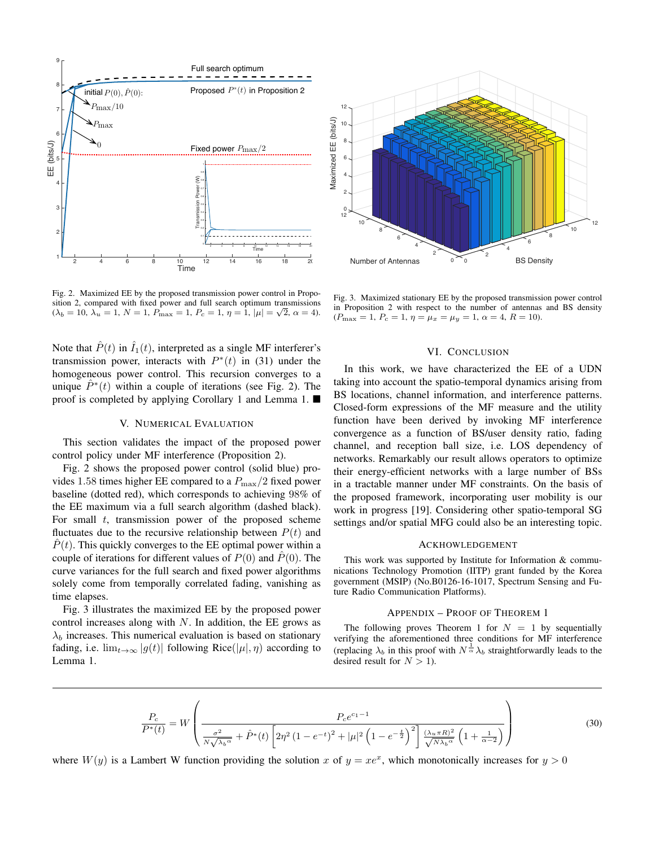

Fig. 2. Maximized EE by the proposed transmission power control in Proposition 2, compared with fixed power and full search optimum transmissions  $(\lambda_b = 10, \lambda_u = 1, N = 1, P_{\text{max}} = 1, P_c = 1, \eta = 1, |\mu| = \sqrt{2}, \alpha = 4).$ 

Note that  $\hat{P}(t)$  in  $\hat{I}_1(t)$ , interpreted as a single MF interferer's transmission power, interacts with  $P^*(t)$  in (31) under the homogeneous power control. This recursion converges to a unique  $\hat{P}^*(t)$  within a couple of iterations (see Fig. 2). The proof is completed by applying Corollary 1 and Lemma 1. ■

## V. NUMERICAL EVALUATION

This section validates the impact of the proposed power control policy under MF interference (Proposition 2).

Fig. 2 shows the proposed power control (solid blue) provides 1.58 times higher EE compared to a  $P_{\text{max}}/2$  fixed power baseline (dotted red), which corresponds to achieving 98% of the EE maximum via a full search algorithm (dashed black). For small  $t$ , transmission power of the proposed scheme fluctuates due to the recursive relationship between  $P(t)$  and  $\hat{P}(t)$ . This quickly converges to the EE optimal power within a couple of iterations for different values of  $P(0)$  and  $\dot{P}(0)$ . The curve variances for the full search and fixed power algorithms solely come from temporally correlated fading, vanishing as time elapses.

Fig. 3 illustrates the maximized EE by the proposed power control increases along with  $N$ . In addition, the EE grows as  $\lambda_b$  increases. This numerical evaluation is based on stationary fading, i.e.  $\lim_{t\to\infty} |g(t)|$  following Rice( $|\mu|, \eta$ ) according to Lemma 1.



Fig. 3. Maximized stationary EE by the proposed transmission power control in Proposition 2 with respect to the number of antennas and BS density  $(P_{\text{max}} = 1, P_c = 1, \eta = \mu_x = \mu_y = 1, \alpha = 4, R = 10).$ 

#### VI. CONCLUSION

In this work, we have characterized the EE of a UDN taking into account the spatio-temporal dynamics arising from BS locations, channel information, and interference patterns. Closed-form expressions of the MF measure and the utility function have been derived by invoking MF interference convergence as a function of BS/user density ratio, fading channel, and reception ball size, i.e. LOS dependency of networks. Remarkably our result allows operators to optimize their energy-efficient networks with a large number of BSs in a tractable manner under MF constraints. On the basis of the proposed framework, incorporating user mobility is our work in progress [19]. Considering other spatio-temporal SG settings and/or spatial MFG could also be an interesting topic.

#### ACKHOWLEDGEMENT

This work was supported by Institute for Information & communications Technology Promotion (IITP) grant funded by the Korea government (MSIP) (No.B0126-16-1017, Spectrum Sensing and Future Radio Communication Platforms).

#### APPENDIX – PROOF OF THEOREM 1

The following proves Theorem 1 for  $N = 1$  by sequentially verifying the aforementioned three conditions for MF interference (replacing  $\lambda_b$  in this proof with  $N^{\frac{1}{\alpha}}\lambda_b$  straightforwardly leads to the desired result for  $N > 1$ ).

$$
\frac{P_c}{P^*(t)} = W \left( \frac{P_c e^{c_1 - 1}}{\frac{\sigma^2}{N\sqrt{\lambda_b \alpha}} + \hat{P}^*(t) \left[ 2\eta^2 (1 - e^{-t})^2 + |\mu|^2 \left( 1 - e^{-\frac{t}{2}} \right)^2 \right] \frac{(\lambda_u \pi R)^2}{\sqrt{N\lambda_b \alpha}} \left( 1 + \frac{1}{\alpha - 2} \right)} \right)
$$
(30)

where  $W(y)$  is a Lambert W function providing the solution x of  $y = xe^x$ , which monotonically increases for  $y > 0$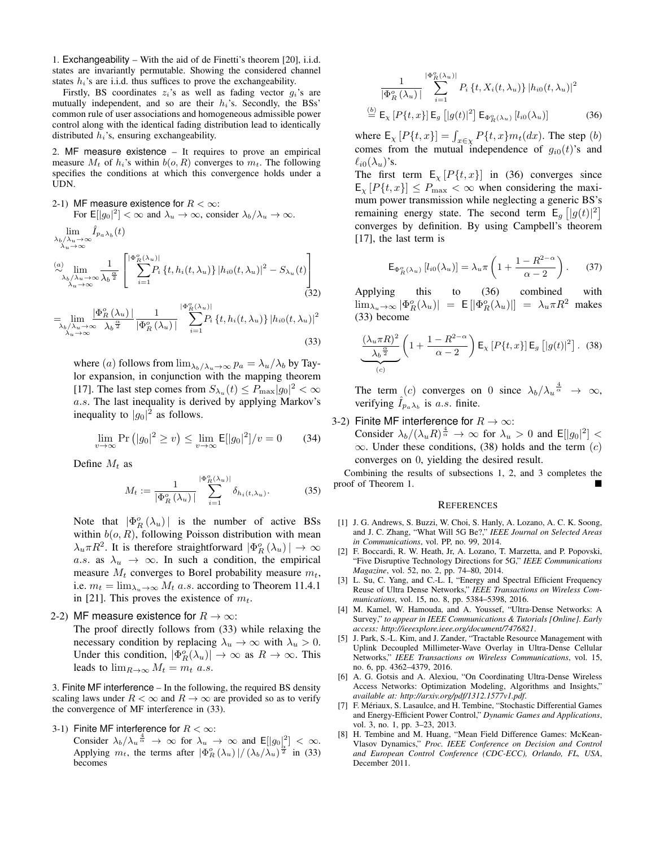1. Exchangeability – With the aid of de Finetti's theorem [20], i.i.d. states are invariantly permutable. Showing the considered channel states  $h_i$ 's are i.i.d. thus suffices to prove the exchangeability.

Firstly, BS coordinates  $z_i$ 's as well as fading vector  $q_i$ 's are mutually independent, and so are their  $h_i$ 's. Secondly, the BSs' common rule of user associations and homogeneous admissible power control along with the identical fading distribution lead to identically distributed  $h_i$ 's, ensuring exchangeability.

2. MF measure existence – It requires to prove an empirical measure  $M_t$  of  $h_i$ 's within  $b(o, R)$  converges to  $m_t$ . The following specifies the conditions at which this convergence holds under a UDN.

2-1) MF measure existence for  $R < \infty$ : For  $E[|g_0|^2] < \infty$  and  $\lambda_u \to \infty$ , consider  $\lambda_b/\lambda_u \to \infty$ .  $\ddot{\phantom{a}}$  $\hat{r}$ 

$$
\begin{aligned}\n&\lim_{\lambda_b/\lambda_u \to \infty} I_{p_a \lambda_b}(t) \\
&\approx \lim_{\lambda_u \to \infty} \frac{1}{\lambda_b \frac{\alpha}{2}} \left[ \sum_{i=1}^{|\Phi_R^o(\lambda_u)|} P_i \{t, h_i(t, \lambda_u)\} |h_{i0}(t, \lambda_u)|^2 - S_{\lambda_u}(t) \right] \\
&\approx \lim_{\lambda_u \to \infty} \frac{1}{\lambda_b \frac{\alpha}{2}} \left[ \sum_{i=1}^{|\Phi_R^o(\lambda_u)|} P_i \{t, h_i(t, \lambda_u)\} |h_{i0}(t, \lambda_u)|^2 - S_{\lambda_u}(t) \right]\n\end{aligned}
$$
\n(32)

$$
=\lim_{\substack{\lambda_b/\lambda_u\to\infty\\ \lambda_u\to\infty}}\frac{|\Phi_R^o(\lambda_u)|}{\lambda_b^{\frac{\alpha}{2}}} \frac{1}{|\Phi_R^o(\lambda_u)|} \sum_{i=1}^{|\Phi_R^o(\lambda_u)|} P_i\left\{t, h_i(t, \lambda_u)\right\} |h_{i0}(t, \lambda_u)|^2
$$
\n(33)

where (a) follows from  $\lim_{\lambda_b/\lambda_u\to\infty} p_a = \lambda_u/\lambda_b$  by Taylor expansion, in conjunction with the mapping theorem [17]. The last step comes from  $S_{\lambda_u}(t) \leq P_{\text{max}}|g_0|^2 < \infty$ a.s. The last inequality is derived by applying Markov's inequality to  $|g_0|^2$  as follows.

$$
\lim_{v \to \infty} \Pr\left(|g_0|^2 \ge v\right) \le \lim_{v \to \infty} \mathsf{E}[|g_0|^2]/v = 0 \tag{34}
$$

Define  $M_t$  as

 $\sim$ 

$$
M_t := \frac{1}{|\Phi_R^o(\lambda_u)|} \sum_{i=1}^{|\Phi_R^o(\lambda_u)|} \delta_{h_i(t,\lambda_u)}.
$$
 (35)

Note that  $|\Phi_R^o(\lambda_u)|$  is the number of active BSs within  $b(o, R)$ , following Poisson distribution with mean  $\lambda_u \pi R^2$ . It is therefore straightforward  $|\Phi_R^o(\lambda_u)| \to \infty$ a.s. as  $\lambda_u \rightarrow \infty$ . In such a condition, the empirical measure  $M_t$  converges to Borel probability measure  $m_t$ , i.e.  $m_t = \lim_{\lambda_u \to \infty} M_t$  a.s. according to Theorem 11.4.1 in [21]. This proves the existence of  $m_t$ .

2-2) MF measure existence for  $R \to \infty$ :

The proof directly follows from (33) while relaxing the necessary condition by replacing  $\lambda_u \to \infty$  with  $\lambda_u > 0$ . Under this condition,  $|\Phi_R^o(\lambda_u)| \to \infty$  as  $R \to \infty$ . This leads to  $\lim_{R\to\infty} M_t = m_t$  a.s.

3. Finite MF interference – In the following, the required BS density scaling laws under  $R < \infty$  and  $R \to \infty$  are provided so as to verify the convergence of MF interference in (33).

3-1) Finite MF interference for  $R < \infty$ :

Consider  $\lambda_b/\lambda_u \frac{4}{\alpha} \rightarrow \infty$  for  $\lambda_u \rightarrow \infty$  and  $E[|g_0|^2] < \infty$ . Applying  $m_t$ , the terms after  $|\Phi_R^o(\lambda_u)|/(\lambda_b/\lambda_u)^{\frac{1}{2}}$  in (33) becomes

$$
\frac{1}{\left|\Phi_{R}^{o}\left(\lambda_{u}\right)\right|} \sum_{i=1}^{\left|\Phi_{R}^{o}\left(\lambda_{u}\right)\right|} P_{i}\left\{t, X_{i}(t, \lambda_{u})\right\} |h_{i0}(t, \lambda_{u})|^{2}
$$
\n
$$
\stackrel{(b)}{=} \mathsf{E}_{\mathbf{x}}\left[P\left\{t, x\right\}\right] \mathsf{E}_{g}\left[|g(t)|^{2}\right] \mathsf{E}_{\Phi_{R}^{o}\left(\lambda_{u}\right)}\left[l_{i0}(\lambda_{u})\right] \tag{36}
$$

where  $\mathsf{E}_{\chi} [P\{t,x\}] = \int_{x \in \chi} P\{t,x\} m_t(dx)$ . The step  $(b)$ comes from the mutual independence of  $q_{i0}(t)$ 's and  $\ell_{i0}(\lambda_u)$ 's.

The first term  $E_{\chi} [P\{t, x\}]$  in (36) converges since  $\mathsf{E}_{\chi} [P\{t,x\}] \leq P_{\text{max}} < \infty$  when considering the maximum power transmission while neglecting a generic BS's remaining energy state. The second term  $E_g [g(t)]^2$ converges by definition. By using Campbell's theorem [17], the last term is

$$
\mathsf{E}_{\Phi_R^o(\lambda_u)}\left[l_{i0}(\lambda_u)\right] = \lambda_u \pi \left(1 + \frac{1 - R^{2-\alpha}}{\alpha - 2}\right). \tag{37}
$$

Applying this to (36) combined with  $\lim_{\lambda_u \to \infty} |\Phi_R^o(\lambda_u)| = \mathsf{E} [|\Phi_R^o(\lambda_u)|] = \lambda_u \pi R^2$  makes (33) become

$$
\underbrace{\frac{(\lambda_u \pi R)^2}{\lambda_b \frac{\alpha}{2}} \left(1 + \frac{1 - R^{2-\alpha}}{\alpha - 2}\right) \mathsf{E}_x \left[P\{t, x\}\right] \mathsf{E}_g \left[\left|g(t)\right|^2\right]. \tag{38}
$$

The term (c) converges on 0 since  $\lambda_b/\lambda_u^{\frac{4}{\alpha}} \rightarrow \infty$ , verifying  $\hat{I}_{p_a\lambda_b}$  is a.s. finite.

#### 3-2) Finite MF interference for  $R \to \infty$ :

Consider  $\lambda_b/(\lambda_u R)^{\frac{4}{\alpha}} \to \infty$  for  $\lambda_u > 0$  and  $\mathsf{E}[|g_0|^2] <$  $\infty$ . Under these conditions, (38) holds and the term (c) converges on 0, yielding the desired result.

Combining the results of subsections 1, 2, and 3 completes the proof of Theorem 1.

#### **REFERENCES**

- [1] J. G. Andrews, S. Buzzi, W. Choi, S. Hanly, A. Lozano, A. C. K. Soong, and J. C. Zhang, "What Will 5G Be?," *IEEE Journal on Selected Areas in Communications*, vol. PP, no. 99, 2014.
- [2] F. Boccardi, R. W. Heath, Jr, A. Lozano, T. Marzetta, and P. Popovski, "Five Disruptive Technology Directions for 5G," *IEEE Communications Magazine*, vol. 52, no. 2, pp. 74–80, 2014.
- [3] L. Su, C. Yang, and C.-L. I, "Energy and Spectral Efficient Frequency Reuse of Ultra Dense Networks," *IEEE Transactions on Wireless Communications*, vol. 15, no. 8, pp. 5384–5398, 2016.
- [4] M. Kamel, W. Hamouda, and A. Youssef, "Ultra-Dense Networks: A Survey," *to appear in IEEE Communications & Tutorials [Online]. Early access: http://ieeexplore.ieee.org/document/7476821*.
- [5] J. Park, S.-L. Kim, and J. Zander, "Tractable Resource Management with Uplink Decoupled Millimeter-Wave Overlay in Ultra-Dense Cellular Networks," *IEEE Transactions on Wireless Communications*, vol. 15, no. 6, pp. 4362–4379, 2016.
- [6] A. G. Gotsis and A. Alexiou, "On Coordinating Ultra-Dense Wireless Access Networks: Optimization Modeling, Algorithms and Insights," *available at: http://arxiv.org/pdf/1312.1577v1.pdf*.
- [7] F. Mériaux, S. Lasaulce, and H. Tembine, "Stochastic Differential Games and Energy-Efficient Power Control," *Dynamic Games and Applications*, vol. 3, no. 1, pp. 3–23, 2013.
- [8] H. Tembine and M. Huang, "Mean Field Difference Games: McKean-Vlasov Dynamics," *Proc. IEEE Conference on Decision and Control and European Control Conference (CDC-ECC), Orlando, FL, USA*, December 2011.